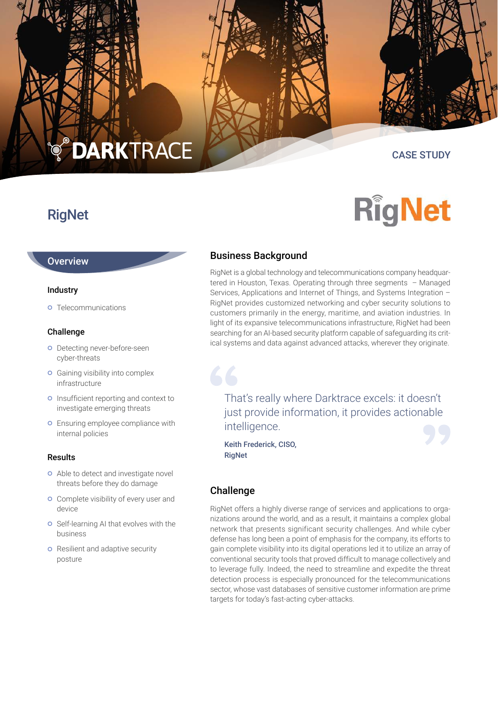# **DARKTRACE**

# CASE STUDY

**RigNet** 

# **RigNet**

# **Overview**

#### Industry

**o** Telecommunications

#### Challenge

- o Detecting never-before-seen cyber-threats
- **o** Gaining visibility into complex infrastructure
- o Insufficient reporting and context to investigate emerging threats
- **o** Ensuring employee compliance with internal policies

#### Results

- **o** Able to detect and investigate novel threats before they do damage
- **o** Complete visibility of every user and device
- **o** Self-learning AI that evolves with the business
- **o** Resilient and adaptive security posture

# Business Background

RigNet is a global technology and telecommunications company headquartered in Houston, Texas. Operating through three segments – Managed Services, Applications and Internet of Things, and Systems Integration – RigNet provides customized networking and cyber security solutions to customers primarily in the energy, maritime, and aviation industries. In light of its expansive telecommunications infrastructure, RigNet had been searching for an AI-based security platform capable of safeguarding its critical systems and data against advanced attacks, wherever they originate.

That's really where Darktrace excels: it doesn't just provide information, it provides actionable intelligence.

Keith Frederick, CISO, RigNet

# Challenge

66

RigNet offers a highly diverse range of services and applications to organizations around the world, and as a result, it maintains a complex global network that presents significant security challenges. And while cyber defense has long been a point of emphasis for the company, its efforts to gain complete visibility into its digital operations led it to utilize an array of conventional security tools that proved difficult to manage collectively and to leverage fully. Indeed, the need to streamline and expedite the threat detection process is especially pronounced for the telecommunications sector, whose vast databases of sensitive customer information are prime targets for today's fast-acting cyber-attacks.